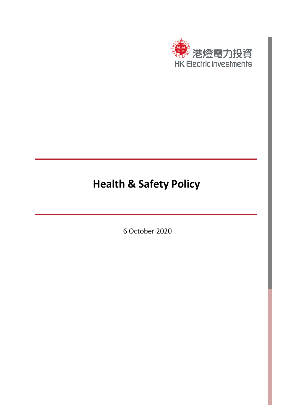

## **Health & Safety Policy**

6 October 2020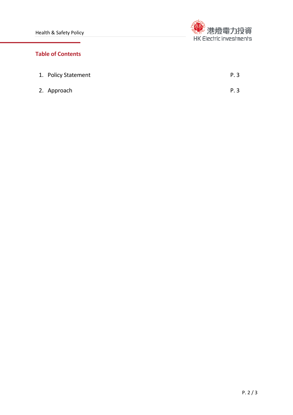

## **Table of Contents**

| 1. Policy Statement | P. 3 |
|---------------------|------|
| 2. Approach         | P. 3 |